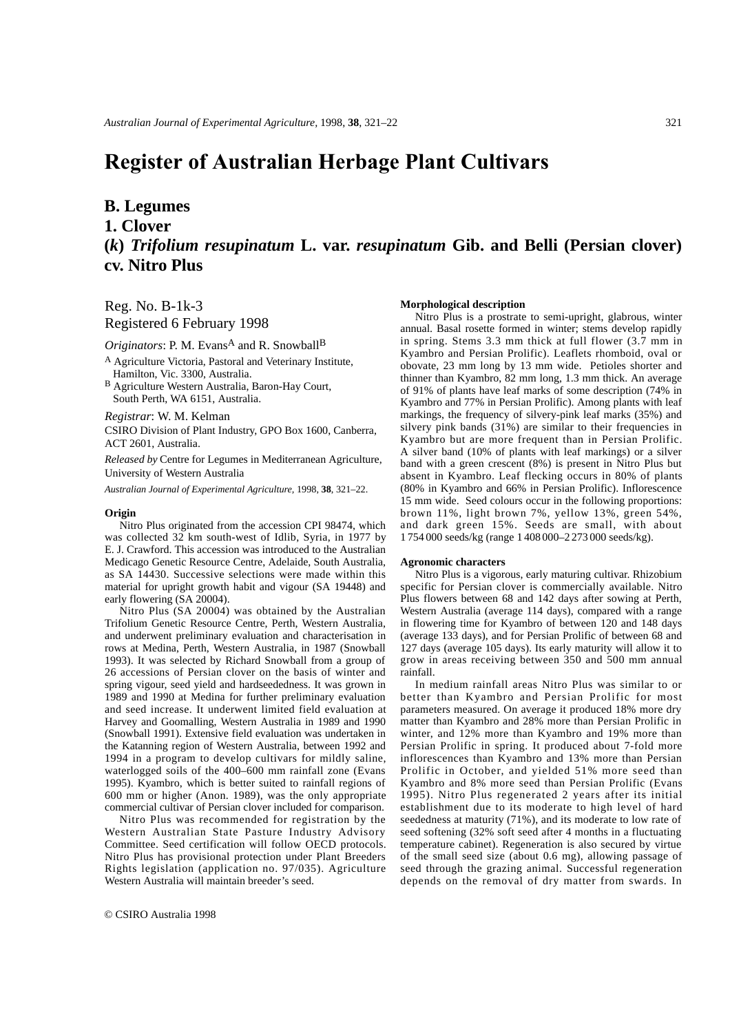# **Register of Australian Herbage Plant Cultivars**

## **B. Legumes**

**1. Clover**

# **(***k***)** *Trifolium resupinatum* **L. var.** *resupinatum* **Gib. and Belli (Persian clover) cv. Nitro Plus**

Reg. No. B-1k-3

Registered 6 February 1998

*Originators*: P. M. Evans<sup>A</sup> and R. Snowball<sup>B</sup>

- <sup>A</sup> Agriculture Victoria, Pastoral and Veterinary Institute, Hamilton, Vic. 3300, Australia.
- <sup>B</sup> Agriculture Western Australia, Baron-Hay Court, South Perth, WA 6151, Australia.

*Registrar*: W. M. Kelman

CSIRO Division of Plant Industry, GPO Box 1600, Canberra, ACT 2601, Australia.

*Released by* Centre for Legumes in Mediterranean Agriculture, University of Western Australia

*Australian Journal of Experimental Agriculture,* 1998, **38**, 321–22.

#### **Origin**

Nitro Plus originated from the accession CPI 98474, which was collected 32 km south-west of Idlib, Syria, in 1977 by E. J. Crawford. This accession was introduced to the Australian Medicago Genetic Resource Centre, Adelaide, South Australia, as SA 14430. Successive selections were made within this material for upright growth habit and vigour (SA 19448) and early flowering (SA 20004).

Nitro Plus (SA 20004) was obtained by the Australian Trifolium Genetic Resource Centre, Perth, Western Australia, and underwent preliminary evaluation and characterisation in rows at Medina, Perth, Western Australia, in 1987 (Snowball 1993). It was selected by Richard Snowball from a group of 26 accessions of Persian clover on the basis of winter and spring vigour, seed yield and hardseededness. It was grown in 1989 and 1990 at Medina for further preliminary evaluation and seed increase. It underwent limited field evaluation at Harvey and Goomalling, Western Australia in 1989 and 1990 (Snowball 1991). Extensive field evaluation was undertaken in the Katanning region of Western Australia, between 1992 and 1994 in a program to develop cultivars for mildly saline, waterlogged soils of the 400–600 mm rainfall zone (Evans 1995). Kyambro, which is better suited to rainfall regions of 600 mm or higher (Anon. 1989), was the only appropriate commercial cultivar of Persian clover included for comparison.

Nitro Plus was recommended for registration by the Western Australian State Pasture Industry Advisory Committee. Seed certification will follow OECD protocols. Nitro Plus has provisional protection under Plant Breeders Rights legislation (application no. 97/035). Agriculture Western Australia will maintain breeder's seed.

#### **Morphological description**

Nitro Plus is a prostrate to semi-upright, glabrous, winter annual. Basal rosette formed in winter; stems develop rapidly in spring. Stems 3.3 mm thick at full flower (3.7 mm in Kyambro and Persian Prolific). Leaflets rhomboid, oval or obovate, 23 mm long by 13 mm wide. Petioles shorter and thinner than Kyambro, 82 mm long, 1.3 mm thick. An average of 91% of plants have leaf marks of some description (74% in Kyambro and 77% in Persian Prolific). Among plants with leaf markings, the frequency of silvery-pink leaf marks (35%) and silvery pink bands (31%) are similar to their frequencies in Kyambro but are more frequent than in Persian Prolific. A silver band (10% of plants with leaf markings) or a silver band with a green crescent (8%) is present in Nitro Plus but absent in Kyambro. Leaf flecking occurs in 80% of plants (80% in Kyambro and 66% in Persian Prolific). Inflorescence 15 mm wide. Seed colours occur in the following proportions: brown 11%, light brown 7%, yellow 13%, green 54%, and dark green 15%. Seeds are small, with about 1 754 000 seeds/kg (range 1 408 000–2 273 000 seeds/kg).

#### **Agronomic characters**

Nitro Plus is a vigorous, early maturing cultivar. Rhizobium specific for Persian clover is commercially available. Nitro Plus flowers between 68 and 142 days after sowing at Perth, Western Australia (average 114 days), compared with a range in flowering time for Kyambro of between 120 and 148 days (average 133 days), and for Persian Prolific of between 68 and 127 days (average 105 days). Its early maturity will allow it to grow in areas receiving between 350 and 500 mm annual rainfall.

In medium rainfall areas Nitro Plus was similar to or better than Kyambro and Persian Prolific for most parameters measured. On average it produced 18% more dry matter than Kyambro and 28% more than Persian Prolific in winter, and 12% more than Kyambro and 19% more than Persian Prolific in spring. It produced about 7-fold more inflorescences than Kyambro and 13% more than Persian Prolific in October, and yielded 51% more seed than Kyambro and 8% more seed than Persian Prolific (Evans 1995). Nitro Plus regenerated 2 years after its initial establishment due to its moderate to high level of hard seededness at maturity (71%), and its moderate to low rate of seed softening (32% soft seed after 4 months in a fluctuating temperature cabinet). Regeneration is also secured by virtue of the small seed size (about 0.6 mg), allowing passage of seed through the grazing animal. Successful regeneration depends on the removal of dry matter from swards. In